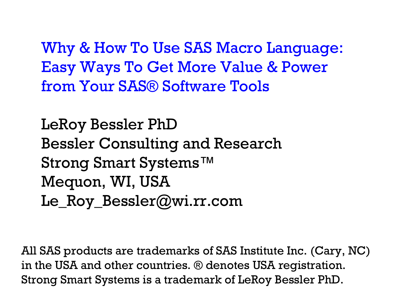Why & How To Use SAS Macro Language: Easy Ways To Get More Value & Power from Your SAS® Software Tools

LeRoy Bessler PhD Bessler Consulting and Research Strong Smart Systems™ Mequon, WI, USA Le\_Roy\_Bessler@wi.rr.com

All SAS products are trademarks of SAS Institute Inc. (Cary, NC) in the USA and other countries. ® denotes USA registration. Strong Smart Systems is a trademark of LeRoy Bessler PhD.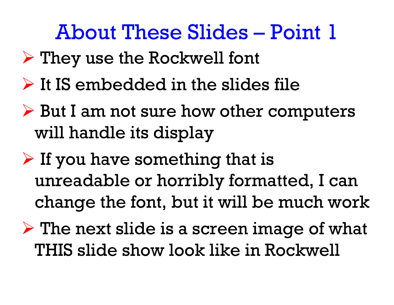### About These Slides – Point 1

- They use the Rockwell font
- $\triangleright$  It IS embedded in the slides file
- But I am not sure how other computers will handle its display
- $\triangleright$  If you have something that is unreadable or horribly formatted, I can change the font, but it will be much work
- $\triangleright$  The next slide is a screen image of what THIS slide show look like in Rockwell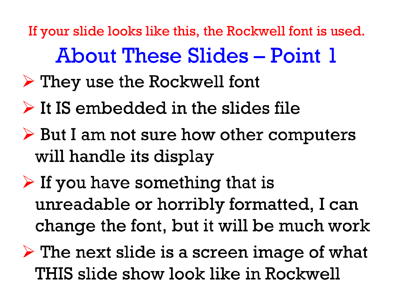If your slide looks like this, the Rockwell font is used. **About These Slides – Point 1** 

- $\triangleright$  They use the Rockwell font
- $\triangleright$  It IS embedded in the slides file
- $\triangleright$  But I am not sure how other computers will handle its display
- $\triangleright$  If you have something that is unreadable or horribly formatted, I can change the font, but it will be much work
- $\triangleright$  The next slide is a screen image of what THIS slide show look like in Rockwell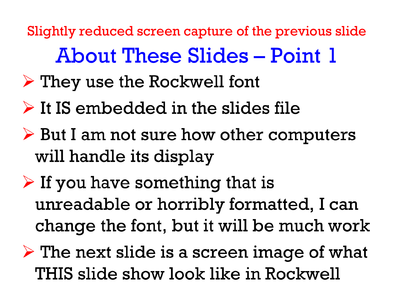Slightly reduced screen capture of the previous slide**About These Slides – Point 1** 

- $\triangleright$  They use the Rockwell font
- $\triangleright$  It IS embedded in the slides file
- $\triangleright$  But I am not sure how other computers will handle its display
- $\triangleright$  If you have something that is unreadable or horribly formatted, I can change the font, but it will be much work
- $\triangleright$  The next slide is a screen image of what THIS slide show look like in Rockwell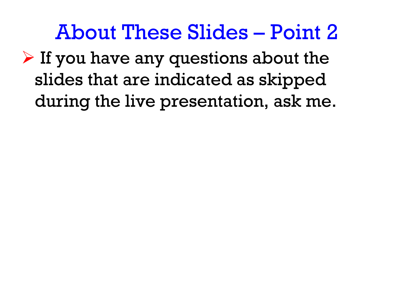About These Slides – Point 2

 $\triangleright$  If you have any questions about the slides that are indicated as skipped during the live presentation, ask me.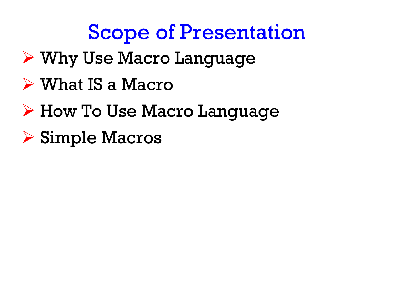# Scope of Presentation

- Why Use Macro Language
- What IS a Macro
- How To Use Macro Language
- Simple Macros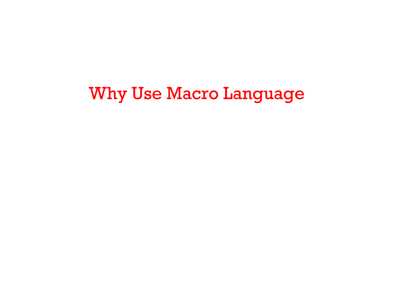#### Why Use Macro Language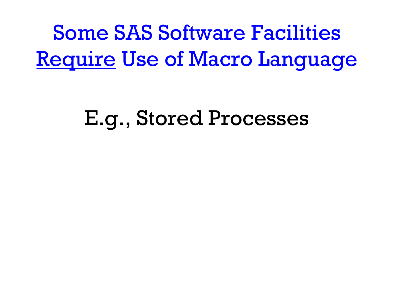Some SAS Software Facilities Require Use of Macro Language

# E.g., Stored Processes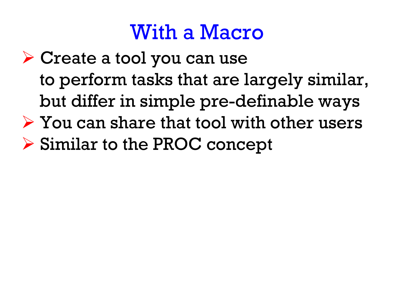### With a Macro

 Create a tool you can use to perform tasks that are largely similar, but differ in simple pre-definable ways  $\triangleright$  You can share that tool with other users Similar to the PROC concept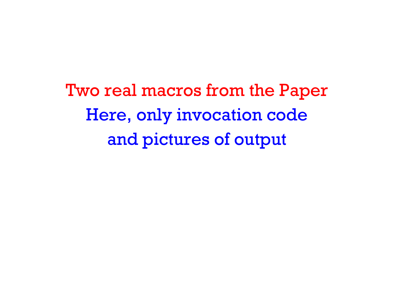Two real macros from the Paper Here, only invocation code and pictures of output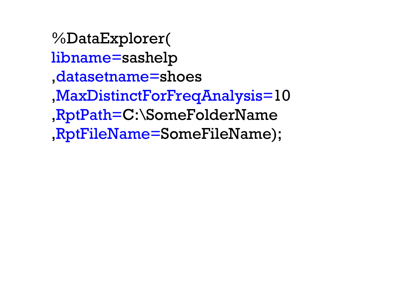%DataExplorer( libname=sashelp ,datasetname=shoes ,MaxDistinctForFreqAnalysis=10 ,RptPath=C:\SomeFolderName ,RptFileName=SomeFileName);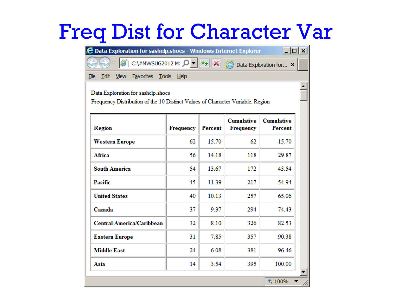### Freq Dist for Character Var

| <b>2</b> Data Exploration for sashelp.shoes - Windows Internet Explorer<br>– I□I ×I                                          |                             |       |     |        |  |  |  |  |
|------------------------------------------------------------------------------------------------------------------------------|-----------------------------|-------|-----|--------|--|--|--|--|
| C:\#MWSUG2012 Mi $\left \bigcup_{\rightarrow} \mathbb{F}\right $<br>×<br><b>E</b> Data Exploration for ×                     |                             |       |     |        |  |  |  |  |
| <b>View</b><br>Favorites Tools<br>File<br>Edit<br><u>Help</u>                                                                |                             |       |     |        |  |  |  |  |
| Data Exploration for sashelp.shoes<br>Frequency Distribution of the 10 Distinct Values of Character Variable: Region         |                             |       |     |        |  |  |  |  |
| <b>Cumulative</b><br><b>Cumulative</b><br>Region<br><b>Percent</b><br><b>Frequency</b><br><b>Percent</b><br><b>Frequency</b> |                             |       |     |        |  |  |  |  |
| <b>Western Europe</b>                                                                                                        | 62                          | 15.70 | 62  | 15.70  |  |  |  |  |
| <b>Africa</b>                                                                                                                | 56                          | 14.18 | 118 | 29.87  |  |  |  |  |
| <b>South America</b><br>54<br>13.67<br>172<br>43.54                                                                          |                             |       |     |        |  |  |  |  |
| Pacific<br>45<br>11.39<br>217<br>54.94                                                                                       |                             |       |     |        |  |  |  |  |
| <b>United States</b>                                                                                                         | 10.13<br>257<br>65.06<br>40 |       |     |        |  |  |  |  |
| Canada                                                                                                                       | 37                          | 9.37  | 294 | 74.43  |  |  |  |  |
| <b>Central America/Caribbean</b>                                                                                             | 32                          | 8.10  | 326 | 82.53  |  |  |  |  |
| <b>Eastern Europe</b>                                                                                                        | 31                          | 7.85  | 357 | 90.38  |  |  |  |  |
| <b>Middle East</b>                                                                                                           | 24                          | 6.08  | 381 | 96.46  |  |  |  |  |
| Asia                                                                                                                         | 14                          | 3.54  | 395 | 100.00 |  |  |  |  |
| 4100%                                                                                                                        |                             |       |     |        |  |  |  |  |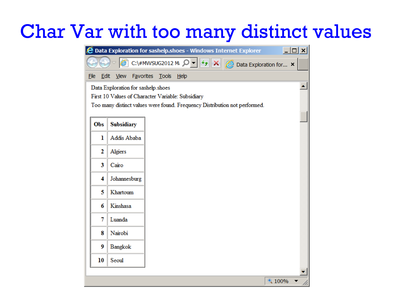#### Char Var with too many distinct values

|                     |                                    | <b>2</b> Data Exploration for sashelp.shoes - Windows Internet Explorer    | $ \Box$ $\times$ $\vert$ |
|---------------------|------------------------------------|----------------------------------------------------------------------------|--------------------------|
|                     |                                    | C:\#MWSUG2012 M: $\Omega$ - + + X<br><b>Q</b> Data Exploration for ×       |                          |
| Edit<br><u>File</u> | <b>Favorites</b><br>View           | <b>Tools</b><br>Help                                                       |                          |
|                     | Data Exploration for sashelp.shoes |                                                                            |                          |
|                     |                                    | First 10 Values of Character Variable: Subsidiary                          |                          |
|                     |                                    | Too many distinct values were found. Frequency Distribution not performed. |                          |
| Obs                 | Subsidiary                         |                                                                            |                          |
| ı                   | Addis Ababa                        |                                                                            |                          |
| 2                   | Algiers                            |                                                                            |                          |
| 3                   | Cairo                              |                                                                            |                          |
| 4                   | Johannesburg                       |                                                                            |                          |
| 5                   | Khartoum                           |                                                                            |                          |
| 6                   | Kinshasa                           |                                                                            |                          |
| 7                   | Luanda                             |                                                                            |                          |
| 8                   | Nairobi                            |                                                                            |                          |
| 9                   | Bangkok                            |                                                                            |                          |
| 10                  | Seoul                              |                                                                            |                          |
|                     |                                    |                                                                            |                          |
|                     |                                    |                                                                            | 4 100%                   |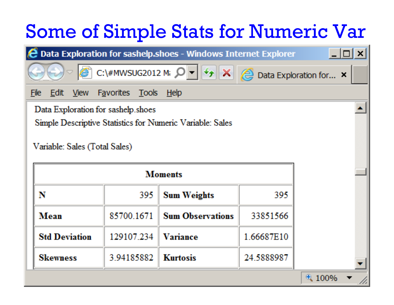# Some of Simple Stats for Numeric Var

| <b>2 Data Exploration for sashelp.shoes - Windows Internet Explorer</b><br>$\boldsymbol{\mathsf{x}}$                             |                                  |                                                                         |                                 |       |  |  |  |
|----------------------------------------------------------------------------------------------------------------------------------|----------------------------------|-------------------------------------------------------------------------|---------------------------------|-------|--|--|--|
|                                                                                                                                  | C:\#MWSUG2012 Mi Q               | $\boldsymbol{\times}$<br>$\boldsymbol{\star}_{\hat{\boldsymbol{\tau}}}$ | <b>@</b> Data Exploration for × |       |  |  |  |
| <b>File</b><br>Edit.<br><b>View</b><br><b>Favorites</b><br><b>Tools</b><br><u>Help</u>                                           |                                  |                                                                         |                                 |       |  |  |  |
| Data Exploration for sashelp shoes<br>Simple Descriptive Statistics for Numeric Variable: Sales<br>Variable: Sales (Total Sales) |                                  |                                                                         |                                 |       |  |  |  |
|                                                                                                                                  |                                  | <b>Moments</b>                                                          |                                 |       |  |  |  |
| N                                                                                                                                | 395<br><b>Sum Weights</b><br>395 |                                                                         |                                 |       |  |  |  |
| Mean                                                                                                                             | 85700.1671                       | <b>Sum Observations</b>                                                 | 33851566                        |       |  |  |  |
| 129107.234<br><b>Std Deviation</b><br>Variance<br>1.66687E10                                                                     |                                  |                                                                         |                                 |       |  |  |  |
| <b>Skewness</b>                                                                                                                  | 3.94185882                       | <b>Kurtosis</b>                                                         | 24.5888987                      |       |  |  |  |
|                                                                                                                                  |                                  |                                                                         |                                 | 4100% |  |  |  |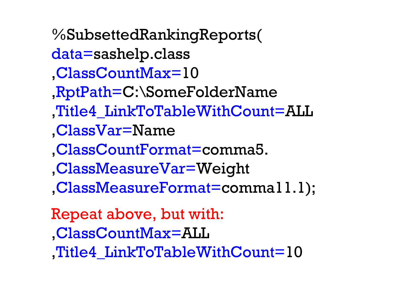%SubsettedRankingReports( data=sashelp.class ,ClassCountMax=10 ,RptPath=C:\SomeFolderName ,Title4\_LinkToTableWithCount=ALL ,ClassVar=Name ,ClassCountFormat=comma5. ,ClassMeasureVar=Weight ,ClassMeasureFormat=comma11.1); Repeat above, but with: ,ClassCountMax=ALL

,Title4\_LinkToTableWithCount=10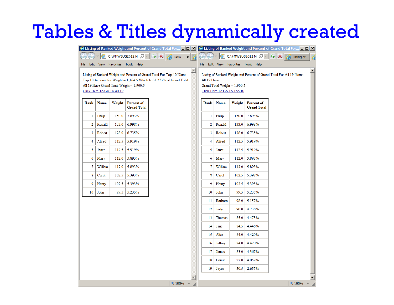#### Tables & Titles dynamically created

|              |                            |        |                                                                                                                                                                                        | E Listing of Ranked Weight and Percent of Grand Total For [ $\Box$ X $\parallel$ & Listing of Ranked Weight and Percent of Grand Total For $\Box$ X |              |             |                                                              |        |                                                                                   |              |            |
|--------------|----------------------------|--------|----------------------------------------------------------------------------------------------------------------------------------------------------------------------------------------|-----------------------------------------------------------------------------------------------------------------------------------------------------|--------------|-------------|--------------------------------------------------------------|--------|-----------------------------------------------------------------------------------|--------------|------------|
|              |                            |        | C:\#MWSUG2012 M; Q v + + X   A Listin x                                                                                                                                                | Æ                                                                                                                                                   |              |             |                                                              |        | C:\#MWSUG2012 M: $\left \mathcal{O} - \left \frac{1}{2}\right  \mathbf{X}\right $ | e Listing of | $\epsilon$ |
| <u>F</u> ile |                            |        | Edit View Favorites Tools Help                                                                                                                                                         |                                                                                                                                                     | <u>F</u> ile |             |                                                              |        | Edit View Favorites Tools Help                                                    |              |            |
|              | Click Here To Go To All 19 |        | Listing of Ranked Weight and Percent of Grand Total For Top 10 Name<br>Top 10 Account for Weight = 1,164.5 Which Is 61.273% of Grand Total<br>All 19 Have Grand Total Weight = 1,900.5 | Â                                                                                                                                                   |              | All 19 Have | Grand Total Weight = $1,900.5$<br>Click Here To Go To Top 10 |        | Listing of Ranked Weight and Percent of Grand Total For All 19 Name               |              |            |
| Rank         | <b>Name</b>                | Weight | <b>Percent of</b><br><b>Grand Total</b>                                                                                                                                                |                                                                                                                                                     |              | Rank        | <b>Name</b>                                                  | Weight | <b>Percent of</b><br><b>Grand Total</b>                                           |              |            |
|              | Philip<br>1                | 150.0  | 7.893%                                                                                                                                                                                 |                                                                                                                                                     |              | 1           | Philip                                                       | 150.0  | 7.893%                                                                            |              |            |
|              | 2<br>Ronald                | 133.0  | 6.998%                                                                                                                                                                                 |                                                                                                                                                     |              | 2           | Ronald                                                       | 133.0  | 6.998%                                                                            |              |            |
|              | 3<br>Robert                | 128.0  | 6.735%                                                                                                                                                                                 |                                                                                                                                                     |              | 3           | Robert                                                       | 128.0  | 6.735%                                                                            |              |            |
|              | 4<br>Alfred                | 112.5  | 5.919%                                                                                                                                                                                 |                                                                                                                                                     |              | 4           | Alfred                                                       | 112.5  | 5.919%                                                                            |              |            |
|              | 5<br>Janet                 | 112.5  | 5.919%                                                                                                                                                                                 |                                                                                                                                                     |              | 5           | Janet                                                        | 112.5  | 5.919%                                                                            |              |            |
|              | 6<br>Mary                  | 112.0  | 5.893%                                                                                                                                                                                 |                                                                                                                                                     |              | 6           | Mary                                                         | 112.0  | 5.893%                                                                            |              |            |
|              | 7<br>William               | 112.0  | 5.893%                                                                                                                                                                                 |                                                                                                                                                     |              | 7           | William                                                      | 112.0  | 5.893%                                                                            |              |            |
|              | 8<br>Carol                 | 102.5  | 5.393%                                                                                                                                                                                 |                                                                                                                                                     |              | 8           | Carol                                                        | 102.5  | 5.393%                                                                            |              |            |
|              | 9<br>Henry                 | 102.5  | 5.393%                                                                                                                                                                                 |                                                                                                                                                     |              | 9           | Henry                                                        | 102.5  | 5.393%                                                                            |              |            |
| 10           | John                       | 99.5   | 5.235%                                                                                                                                                                                 |                                                                                                                                                     |              | 10          | John                                                         | 99.5   | 5.235%                                                                            |              |            |
|              |                            |        |                                                                                                                                                                                        |                                                                                                                                                     |              | 11          | Barbara                                                      | 98.0   | 5.157%                                                                            |              |            |
|              |                            |        |                                                                                                                                                                                        |                                                                                                                                                     |              | 12          | Judy                                                         | 90.0   | 4.736%                                                                            |              |            |
|              |                            |        |                                                                                                                                                                                        |                                                                                                                                                     |              | 13          | Thomas                                                       | 85.0   | 4.473%                                                                            |              |            |
|              |                            |        |                                                                                                                                                                                        |                                                                                                                                                     |              | 14          | Jane                                                         | 84.5   | 4.446%                                                                            |              |            |
|              |                            |        |                                                                                                                                                                                        |                                                                                                                                                     |              | 15          | Alice                                                        | 84.0   | 4.420%                                                                            |              |            |
|              |                            |        |                                                                                                                                                                                        |                                                                                                                                                     |              | 16          | Jeffrey                                                      | 84.0   | 4.420%                                                                            |              |            |
|              |                            |        |                                                                                                                                                                                        |                                                                                                                                                     |              | 17          | James                                                        | 83.0   | 4.367%                                                                            |              |            |
|              |                            |        |                                                                                                                                                                                        |                                                                                                                                                     |              | 18          | Louise                                                       | 77.0   | 4.052%                                                                            |              |            |
|              |                            |        |                                                                                                                                                                                        |                                                                                                                                                     |              | 19          | Joyce                                                        | 50.5   | 2.657%                                                                            |              |            |
|              |                            |        |                                                                                                                                                                                        |                                                                                                                                                     |              |             |                                                              |        |                                                                                   |              |            |
|              |                            |        |                                                                                                                                                                                        | 4100%                                                                                                                                               |              |             |                                                              |        |                                                                                   | 4,100%       | h.         |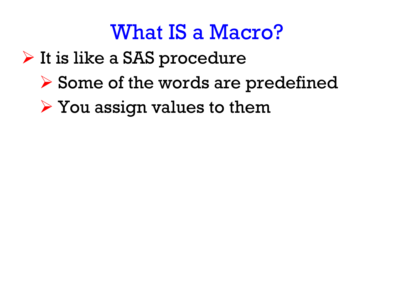- $\triangleright$  It is like a SAS procedure
	- Some of the words are predefined
	- You assign values to them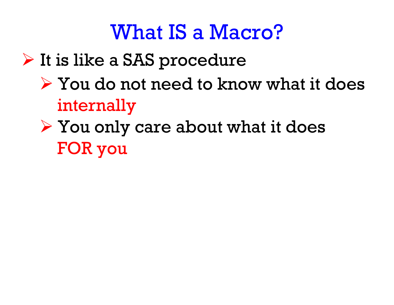- $\triangleright$  It is like a SAS procedure
	- $\triangleright$  You do not need to know what it does internally
	- You only care about what it does FOR you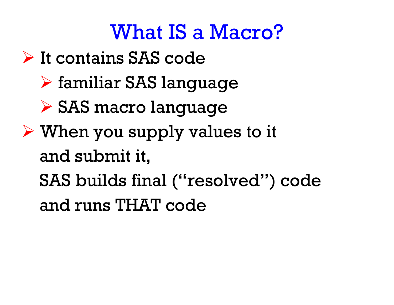- $\triangleright$  It contains SAS code
	- familiar SAS language
	- SAS macro language
- When you supply values to it and submit it,
	- SAS builds final ("resolved") code

and runs THAT code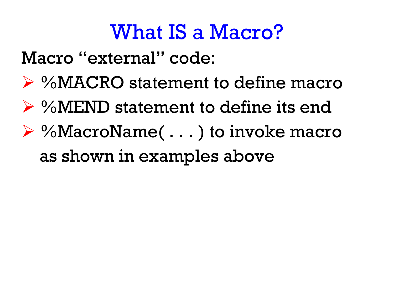Macro "external" code:

- %MACRO statement to define macro
- %MEND statement to define its end
- %MacroName( . . . ) to invoke macro as shown in examples above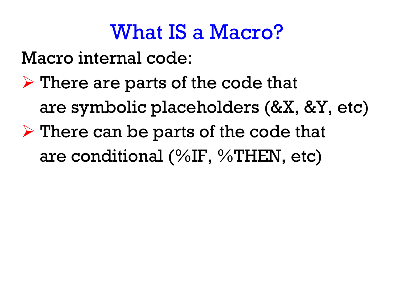Macro internal code:

 $\triangleright$  There are parts of the code that are symbolic placeholders (&X, &Y, etc)  $\triangleright$  There can be parts of the code that are conditional (%IF, %THEN, etc)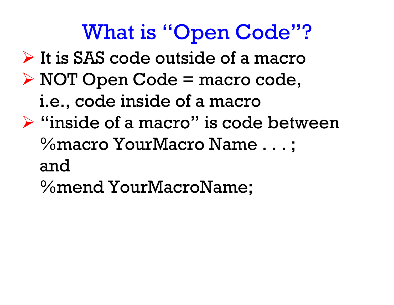# What is "Open Code"?

- $\triangleright$  It is SAS code outside of a macro
- NOT Open Code = macro code, i.e., code inside of a macro
- $\triangleright$  "inside of a macro" is code between %macro YourMacro Name . . . ; and
	- %mend YourMacroName;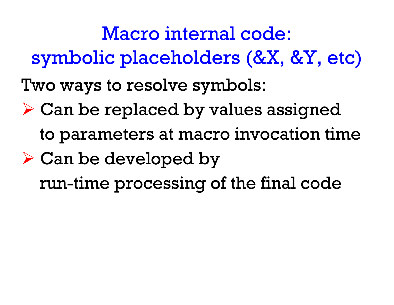Macro internal code: symbolic placeholders (&X, &Y, etc)

Two ways to resolve symbols:

- Can be replaced by values assigned to parameters at macro invocation time
- Can be developed by run-time processing of the final code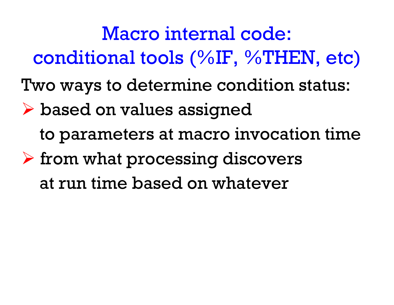Two ways to determine condition status: based on values assigned Macro internal code: conditional tools (%IF, %THEN, etc)

to parameters at macro invocation time

 $\triangleright$  from what processing discovers at run time based on whatever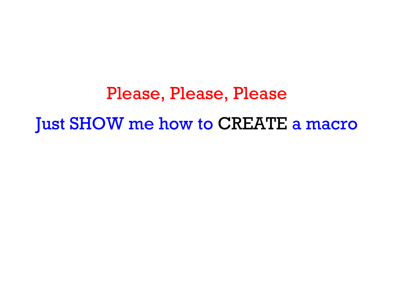Please, Please, Please Just SHOW me how to CREATE a macro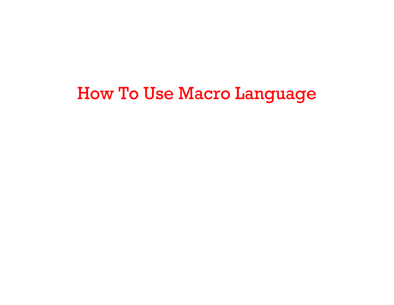#### How To Use Macro Language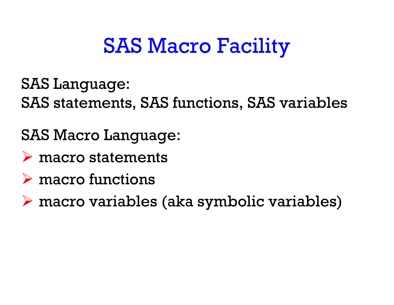# SAS Macro Facility

SAS Language:

SAS statements, SAS functions, SAS variables

SAS Macro Language:

- $\triangleright$  macro statements
- $\triangleright$  macro functions

macro variables (aka symbolic variables)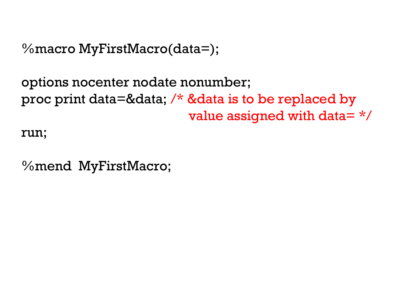```
%macro MyFirstMacro(data=);
```

```
options nocenter nodate nonumber;
proc print data=&data; /* &data is to be replaced by
                         value assigned with data= */
```
run;

%mend MyFirstMacro;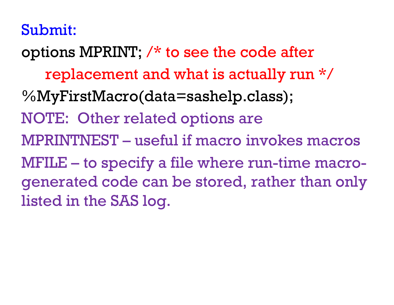#### Submit:

options MPRINT; /\* to see the code after replacement and what is actually run \*/ %MyFirstMacro(data=sashelp.class); NOTE: Other related options are MPRINTNEST – useful if macro invokes macros MFILE – to specify a file where run-time macrogenerated code can be stored, rather than only listed in the SAS log.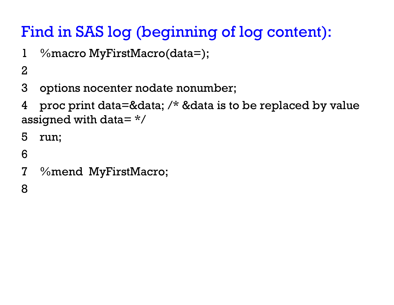#### Find in SAS log (beginning of log content):

- 1 %macro MyFirstMacro(data=);
- 2
- 3 options nocenter nodate nonumber;
- 4 proc print data=&data;  $\prime\prime\prime$  &data is to be replaced by value assigned with data= $*/$
- 5 run;
- 6
- 7 %mend MyFirstMacro;

8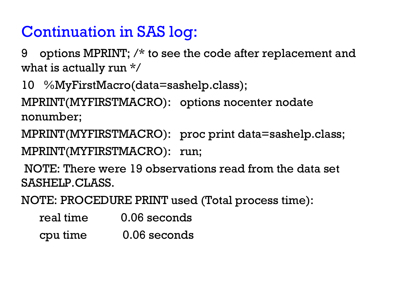#### Continuation in SAS log:

9 options MPRINT; /\* to see the code after replacement and what is actually run \*/

10 %MyFirstMacro(data=sashelp.class);

MPRINT(MYFIRSTMACRO): options nocenter nodate nonumber;

MPRINT(MYFIRSTMACRO): proc print data=sashelp.class; MPRINT(MYFIRSTMACRO): run;

NOTE: There were 19 observations read from the data set SASHELP.CLASS.

NOTE: PROCEDURE PRINT used (Total process time):

| real time | 0.06 seconds |
|-----------|--------------|
| cpu time  | 0.06 seconds |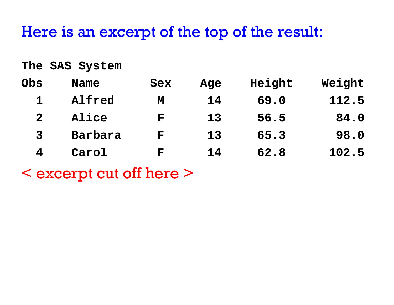#### Here is an excerpt of the top of the result:

**The SAS System**

| Obs            | <b>Name</b> | Sex          | Age | Height | Weight |
|----------------|-------------|--------------|-----|--------|--------|
|                | Alfred      | M            | 14  | 69.0   | 112.5  |
| 2 <sup>1</sup> | Alice       | $\mathbf{F}$ | 13  | 56.5   | 84.0   |
| $\mathbf{3}$   | Barbara     | ${\bf F}$    | 13  | 65.3   | 98.0   |
|                | Carol       | F            | 14  | 62.8   | 102.5  |

< excerpt cut off here >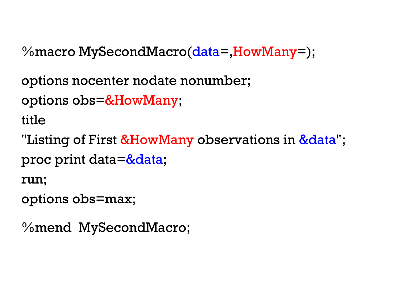%macro MySecondMacro(data=,HowMany=);

options nocenter nodate nonumber;

```
options obs=&HowMany;
```
title

"Listing of First &HowMany observations in &data"; proc print data=&data;

run;

```
options obs=max;
```
%mend MySecondMacro;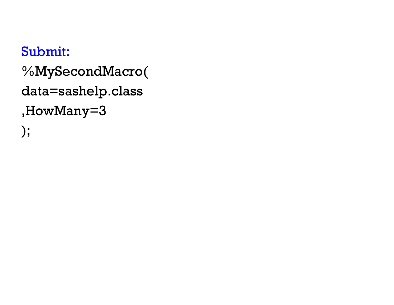```
Submit:
%MySecondMacro(
data=sashelp.class
,HowMany=3
);
```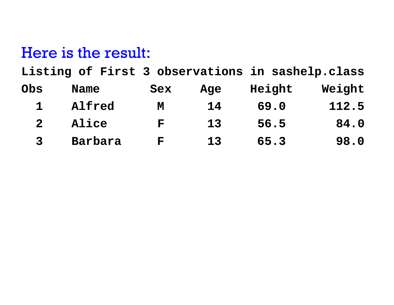#### Here is the result:

**Listing of First 3 observations in sashelp.class**

| Obs | Name         | Sex       | Age | Height | Weight |
|-----|--------------|-----------|-----|--------|--------|
|     | Alfred       | M         | 14  | 69.0   | 112.5  |
|     | <b>Alice</b> | ${\bf F}$ | 13  | 56.5   | 84.0   |
|     | Barbara      | F         | 13  | 65.3   | 98.0   |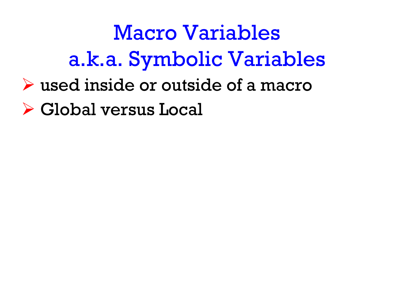Macro Variables a.k.a. Symbolic Variables

- used inside or outside of a macro
- Global versus Local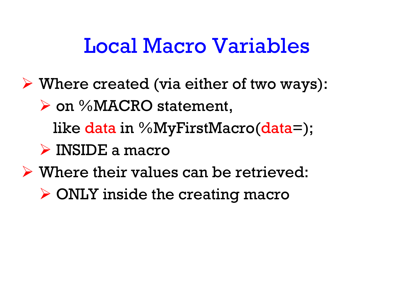## Local Macro Variables

- Where created (via either of two ways):
	- **≻ on %MACRO statement,** 
		- like data in %MyFirstMacro(data=);
	- INSIDE a macro
- $\triangleright$  Where their values can be retrieved:
	- ONLY inside the creating macro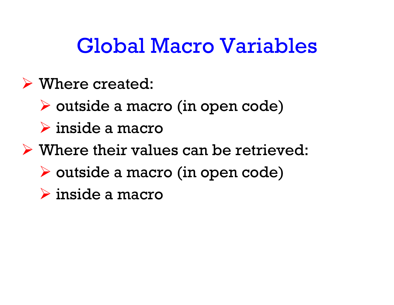## Global Macro Variables

## Where created:

- outside a macro (in open code)
- inside a macro
- $\triangleright$  Where their values can be retrieved:
	- outside a macro (in open code)
	- inside a macro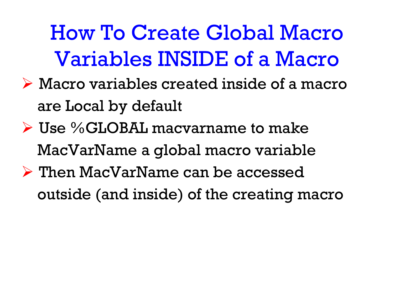How To Create Global Macro Variables INSIDE of a Macro

- Macro variables created inside of a macro are Local by default
- $\triangleright$  Use %GLOBAL macvarname to make MacVarName a global macro variable  $\triangleright$  Then MacVarName can be accessed
	- outside (and inside) of the creating macro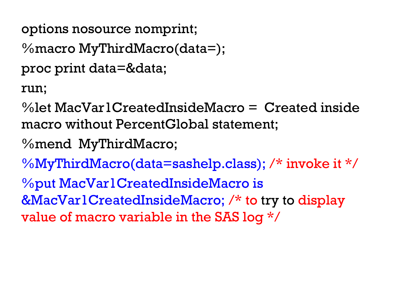```
options nosource nomprint;
```

```
%macro MyThirdMacro(data=);
```

```
proc print data=&data;
```
run;

%let MacVar1CreatedInsideMacro = Created inside macro without PercentGlobal statement;

```
%mend MyThirdMacro;
```

```
%MyThirdMacro(data=sashelp.class); /* invoke it */
```
%put MacVar1CreatedInsideMacro is &MacVar1CreatedInsideMacro; /\* to try to display

```
value of macro variable in the SAS log */
```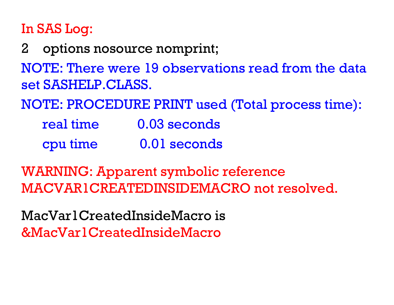### In SAS Log:

2 options nosource nomprint;

NOTE: There were 19 observations read from the data set SASHELP.CLASS.

NOTE: PROCEDURE PRINT used (Total process time):

| real time | 0.03 seconds |
|-----------|--------------|
| cpu time  | 0.01 seconds |

WARNING: Apparent symbolic reference MACVAR1CREATEDINSIDEMACRO not resolved.

MacVar1CreatedInsideMacro is &MacVar1CreatedInsideMacro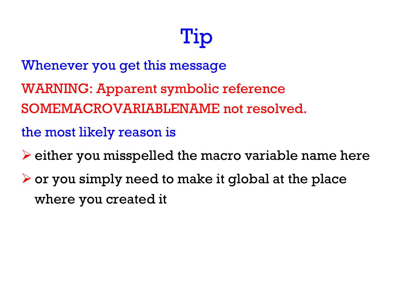# Tip

Whenever you get this message

- WARNING: Apparent symbolic reference
- SOMEMACROVARIABLENAME not resolved.

the most likely reason is

- $\blacktriangleright$  either you misspelled the macro variable name here
- $\triangleright$  or you simply need to make it global at the place where you created it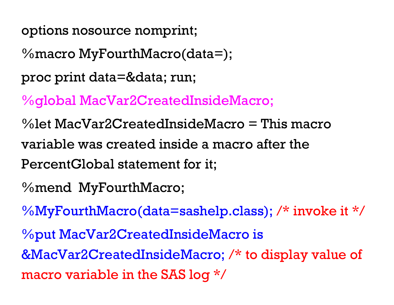options nosource nomprint;

 $\%$ macro MyFourthMacro(data=);

proc print data=&data; run;

%global MacVar2CreatedInsideMacro;

%let MacVar2CreatedInsideMacro = This macro variable was created inside a macro after the PercentGlobal statement for it;

%mend MyFourthMacro;

%MyFourthMacro(data=sashelp.class); /\* invoke it \*/

%put MacVar2CreatedInsideMacro is &MacVar2CreatedInsideMacro; /\* to display value of macro variable in the SAS log \*/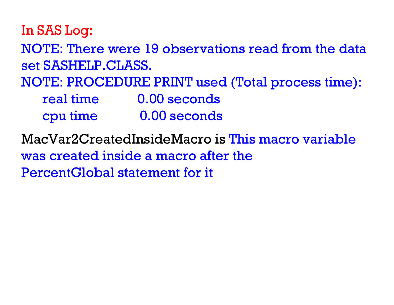In SAS Log:

NOTE: There were 19 observations read from the data set SASHELP.CLASS.

NOTE: PROCEDURE PRINT used (Total process time):

| real time | 0.00 seconds |
|-----------|--------------|
| cpu time  | 0.00 seconds |

MacVar2CreatedInsideMacro is This macro variable was created inside a macro after thePercentGlobal statement for it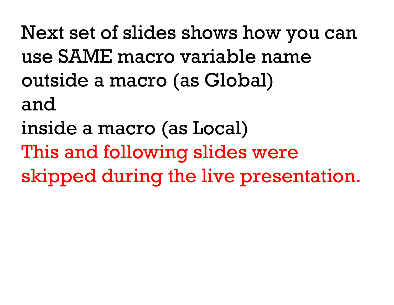Next set of slides shows how you can use SAME macro variable name outside a macro (as Global) and

inside a macro (as Local)

This and following slides were

skipped during the live presentation.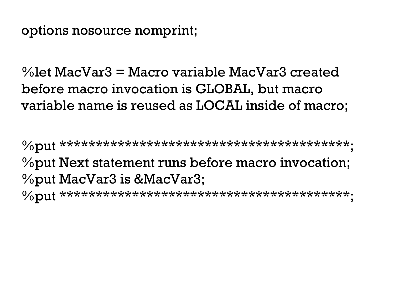options nosource nomprint;

%let MacVar3 = Macro variable MacVar3 created before macro invocation is GLOBAL, but macro variable name is reused as LOCAL inside of macro;

%put \*\*\*\*\*\*\*\*\*\*\*\*\*\*\*\*\*\*\*\*\*\*\*\*\*\*\*\*\*\*\*\*\*\*\*\*\*\*\*\*; %put Next statement runs before macro invocation; %put MacVar3 is &MacVar3; %put \*\*\*\*\*\*\*\*\*\*\*\*\*\*\*\*\*\*\*\*\*\*\*\*\*\*\*\*\*\*\*\*\*\*\*\*\*\*\*\*;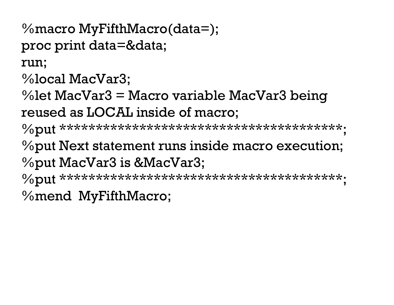```
%macro MyFifthMacro(data=);
proc print data=&data;
run;
```

```
%local MacVar3;
```
%let MacVar3 = Macro variable MacVar3 being reused as LOCAL inside of macro;

%put \*\*\*\*\*\*\*\*\*\*\*\*\*\*\*\*\*\*\*\*\*\*\*\*\*\*\*\*\*\*\*\*\*\*\*\*\*\*\*;

%put Next statement runs inside macro execution; %put MacVar3 is &MacVar3;

%put \*\*\*\*\*\*\*\*\*\*\*\*\*\*\*\*\*\*\*\*\*\*\*\*\*\*\*\*\*\*\*\*\*\*\*\*\*\*\*;

%mend MyFifthMacro;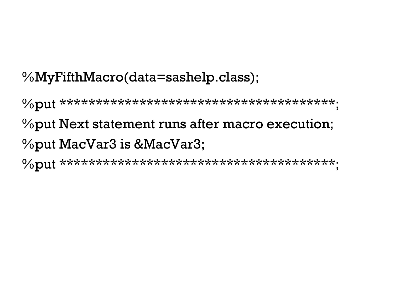### %MyFifthMacro(data=sashelp.class);

%put \*\*\*\*\*\*\*\*\*\*\*\*\*\*\*\*\*\*\*\*\*\*\*\*\*\*\*\*\*\*\*\*\*\*\*\*\*\*; %put Next statement runs after macro execution; %put MacVar3 is &MacVar3;

%put \*\*\*\*\*\*\*\*\*\*\*\*\*\*\*\*\*\*\*\*\*\*\*\*\*\*\*\*\*\*\*\*\*\*\*\*\*\*;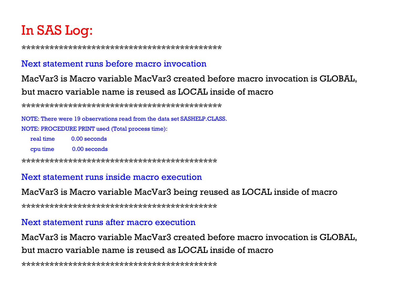### In SAS Log:

\*\*\*\*\*\*\*\*\*\*\*\*\*\*\*\*\*\*\*\*\*\*\*\*\*\*\*\*\*\*\*\*\*\*\*\*\*\*\*\*\*\*\*

#### Next statement runs before macro invocation

#### MacVar3 is Macro variable MacVar3 created before macro invocation is GLOBAL, but macro variable name is reused as LOCAL inside of macro

\*\*\*\*\*\*\*\*\*\*\*\*\*\*\*\*\*\*\*\*\*\*\*\*\*\*\*\*\*\*\*\*\*\*\*\*\*\*\*\*\*\*\*

NOTE: There were 19 observations read from the data set SASHELP.CLASS.NOTE: PROCEDURE PRINT used (Total process time):

| real time | 0.00 seconds |
|-----------|--------------|
| cpu time  | 0.00 seconds |

\*\*\*\*\*\*\*\*\*\*\*\*\*\*\*\*\*\*\*\*\*\*\*\*\*\*\*\*\*\*\*\*\*\*\*\*\*\*\*\*\*\*

#### Next statement runs inside macro execution

#### MacVar3 is Macro variable MacVar3 being reused as LOCAL inside of macro

\*\*\*\*\*\*\*\*\*\*\*\*\*\*\*\*\*\*\*\*\*\*\*\*\*\*\*\*\*\*\*\*\*\*\*\*\*\*\*\*\*\*

#### Next statement runs after macro execution

MacVar3 is Macro variable MacVar3 created before macro invocation is GLOBAL, but macro variable name is reused as LOCAL inside of macro

\*\*\*\*\*\*\*\*\*\*\*\*\*\*\*\*\*\*\*\*\*\*\*\*\*\*\*\*\*\*\*\*\*\*\*\*\*\*\*\*\*\*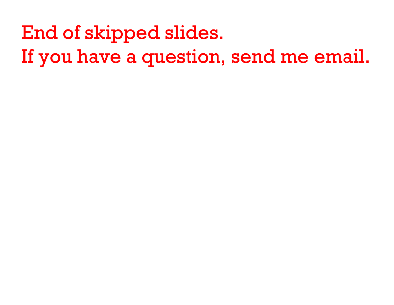End of skipped slides. If you have a question, send me email.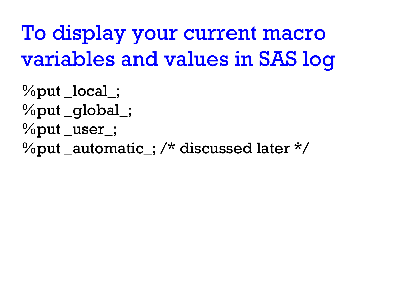To display your current macro variables and values in SAS log

%put \_local\_; %put \_global\_; %put \_user\_;  $\%$ put \_automatic\_; /\* discussed later \*/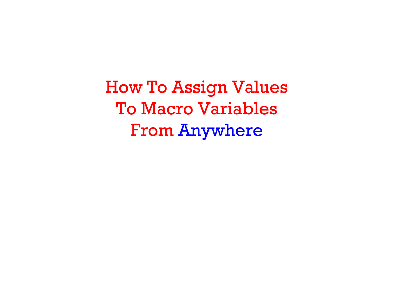How To Assign Values To Macro Variables From Anywhere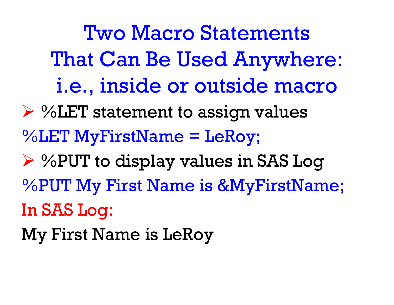Two Macro Statements That Can Be Used Anywhere: i.e., inside or outside macro

 %LET statement to assign values %LET MyFirstName = LeRoy; %PUT to display values in SAS Log %PUT My First Name is &MyFirstName; In SAS Log: My First Name is LeRoy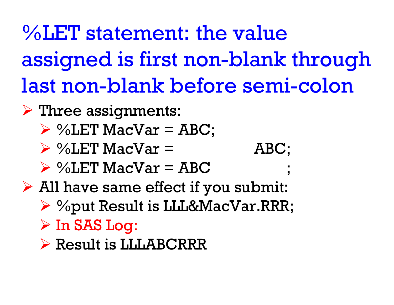%LET statement: the valueassigned is first non-blank through last non-blank before semi-colon

- $\triangleright$  Three assignments:
	- $\triangleright$  %LET MacVar = ABC;
	- $\triangleright$  %LET MacVar = ABC;
	- $\triangleright$  %LET MacVar = ABC ;
- All have same effect if you submit:
	- %put Result is LLL&MacVar.RRR;
	- $\triangleright$  In SAS Log:
	- Result is LLLABCRRR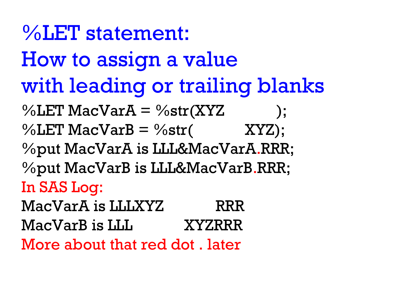$\%$ LET MacVar $A = \%$ str $(XYZ)$ ;  $\%$ LET MacVarB =  $\%$ str(XYZ); %put MacVarA is LLL&MacVarA.RRR; %put MacVarB is LLL&MacVarB.RRR; In SAS Log: MacVarA is LLLXYZ RRRMacVarB is LLL XYZRRRMore about that red dot . later%LET statement: How to assign a value with leading or trailing blanks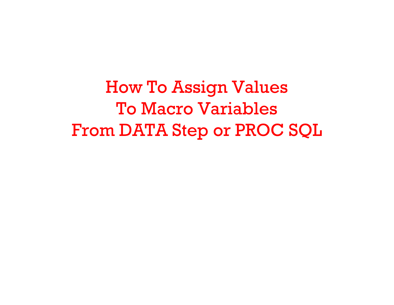How To Assign Values To Macro Variables From DATA Step or PROC SQL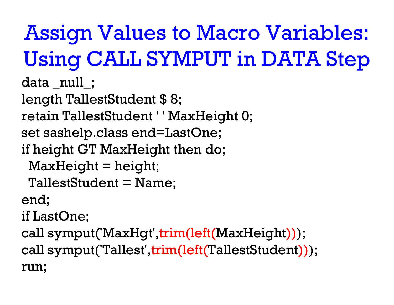# Assign Values to Macro Variables: Using CALL SYMPUT in DATA Step

data \_null\_; length TallestStudent \$ 8; retain TallestStudent ' ' MaxHeight 0; set sashelp.class end=LastOne; if height GT MaxHeight then do;  $MaxHeight = height;$ TallestStudent = Name; end; if LastOne; call symput('MaxHgt',trim(left(MaxHeight))); call symput('Tallest',trim(left(TallestStudent))); run;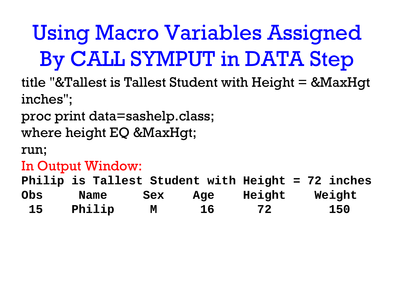## Using Macro Variables Assigned By CALL SYMPUT in DATA Step

title "&Tallest is Tallest Student with Height = &MaxHgt inches";

proc print data=sashelp.class;

where height EQ &MaxHgt;

run;

### In Output Window:

**Philip is Tallest Student with Height = 72 inches Obs Name Sex Age Height Weight 15 Philip M 16 72 150**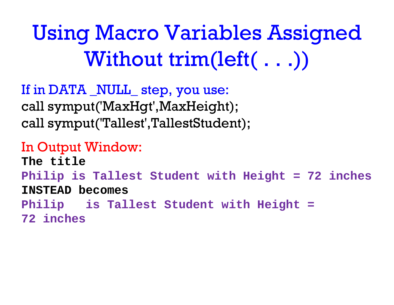Using Macro Variables Assigned Without trim(left( . . .))

If in DATA NULL step, you use: call symput('MaxHgt',MaxHeight); call symput('Tallest',TallestStudent);

In Output Window: **The titlePhilip is Tallest Student with Height = 72 inches INSTEAD becomesPhilip is Tallest Student with Height = 72 inches**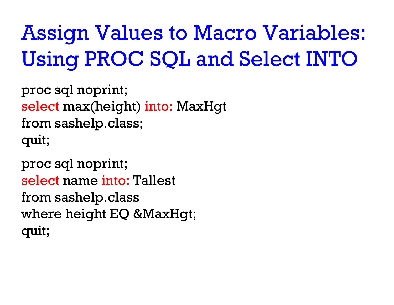Assign Values to Macro Variables: Using PROC SQL and Select INTO

proc sql noprint; select max(height) into: MaxHgt from sashelp.class; quit;

proc sql noprint; select name into: Tallest from sashelp.class where height EQ &MaxHgt; quit;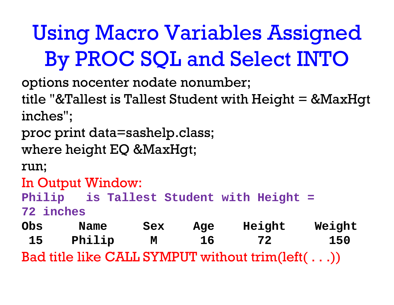## Using Macro Variables Assigned By PROC SQL and Select INTO

options nocenter nodate nonumber;

title "&Tallest is Tallest Student with Height = &MaxHgt inches";

proc print data=sashelp.class;

where height EQ &MaxHgt;

run;

In Output Window:

**Philip is Tallest Student with Height =** 

**72 inches**

**Obs Name Sex Age Height Weight 15 Philip M 16 72 150** Bad title like CALL SYMPUT without trim(left( . . .))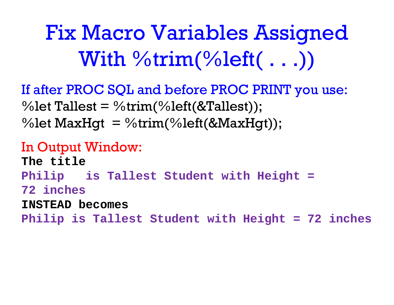Fix Macro Variables Assigned With %trim(%left( . . .))

If after PROC SQL and before PROC PRINT you use: %let Tallest = %trim(%left(&Tallest)); %let  $\text{MaxHgt} = \% \text{trim}(% \text{left}(\& \text{MaxHgt}));$ 

In Output Window: **The titlePhilip is Tallest Student with Height = 72 inchesINSTEAD becomes Philip is Tallest Student with Height = 72 inches**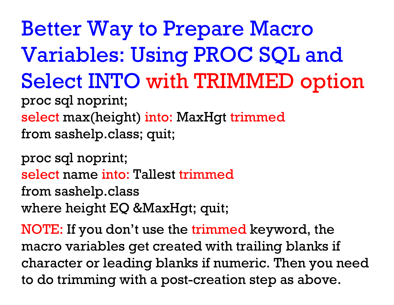proc sql noprint; select max(height) into: MaxHgt trimmed from sashelp.class; quit; Better Way to Prepare Macro Variables: Using PROC SQL and Select INTO with TRIMMED option

proc sql noprint; select name into: Tallest trimmedfrom sashelp.class where height EQ &MaxHgt; quit;

NOTE: If you don't use the trimmed keyword, the macro variables get created with trailing blanks if character or leading blanks if numeric. Then you need to do trimming with a post-creation step as above.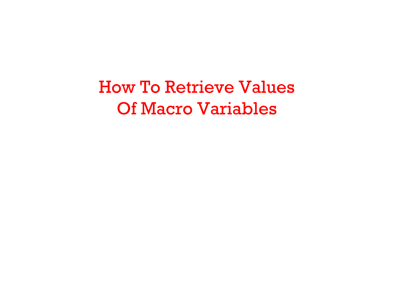How To Retrieve Values Of Macro Variables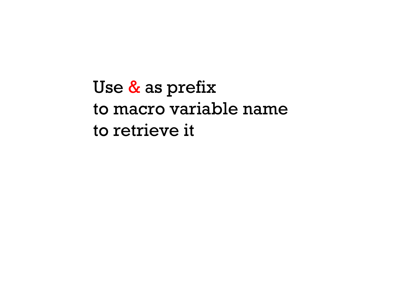Use <mark>&</mark> as prefix to macro variable name to retrieve it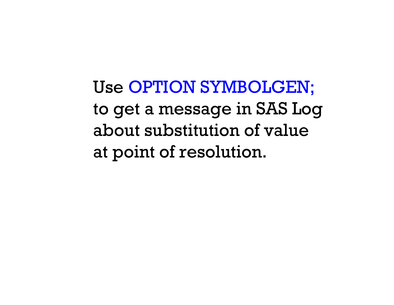Use OPTION SYMBOLGEN; to get a message in SAS Log about substitution of valueat point of resolution.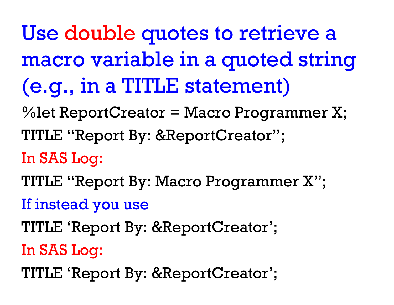Use double quotes to retrieve a macro variable in a quoted string (e.g., in a TITLE statement)

%let ReportCreator = Macro Programmer X; TITLE "Report By: &ReportCreator";

## In SAS Log:

TITLE "Report By: Macro Programmer X";

If instead you use

TITLE 'Report By: &ReportCreator';

In SAS Log:

TITLE 'Report By: &ReportCreator';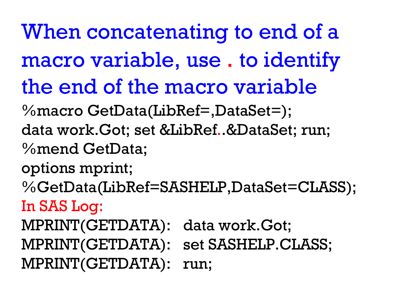%macro GetData(LibRef=,DataSet=); When concatenating to end of a macro variable, use . to identify the end of the macro variable

data work.Got; set &LibRef..&DataSet; run; %mend GetData;

options mprint;

%GetData(LibRef=SASHELP,DataSet=CLASS);

## In SAS Log:

MPRINT(GETDATA): data work.Got; MPRINT(GETDATA): set SASHELP.CLASS; MPRINT(GETDATA): run;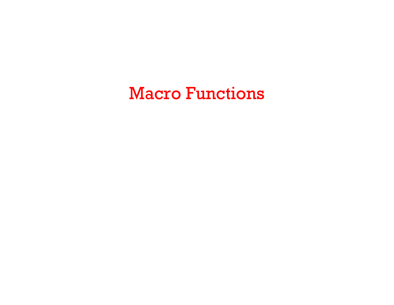Macro Functions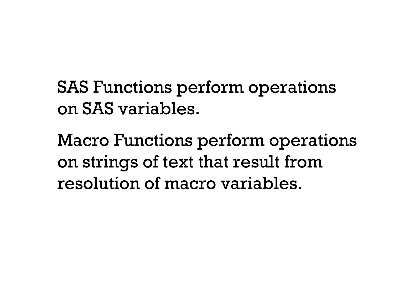SAS Functions perform operations on SAS variables.

Macro Functions perform operations on strings of text that result from resolution of macro variables.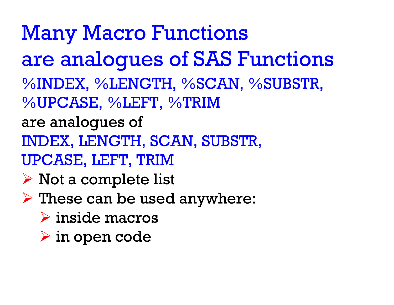%INDEX, %LENGTH, %SCAN, %SUBSTR, %UPCASE, %LEFT, %TRIM are analogues of INDEX, LENGTH, SCAN, SUBSTR, UPCASE, LEFT, TRIM  $\triangleright$  Not a complete list These can be used anywhere: inside macros Many Macro Functions are analogues of SAS Functions

in open code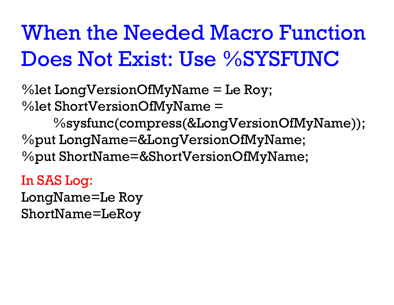# When the Needed Macro FunctionDoes Not Exist: Use %SYSFUNC

% let  $LongVersionOfMyName = Le Roy;$ %let ShortVersionOfMyName <sup>=</sup>

%sysfunc(compress(&LongVersionOfMyName)); %put LongName=&LongVersionOfMyName; %put ShortName=&ShortVersionOfMyName;

In SAS Log:

LongName=Le Roy ShortName=LeRoy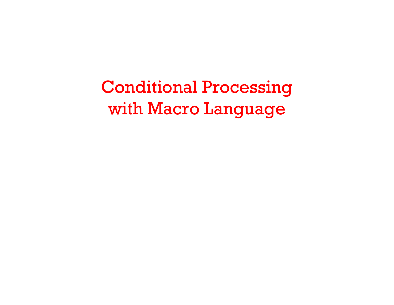Conditional Processing with Macro Language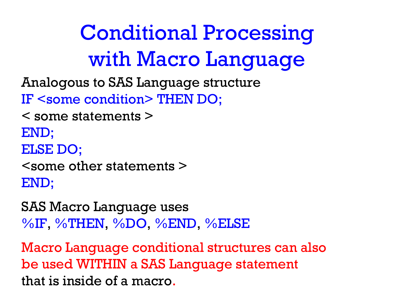Conditional Processing with Macro Language

Analogous to SAS Language structure

IF <some condition> THEN DO;

- < some statements >
- END;
- ELSE DO;

<some other statements >END;

SAS Macro Language uses %IF, %THEN, %DO, %END, %ELSE

Macro Language conditional structures can also be used WITHIN a SAS Language statement that is inside of a macro.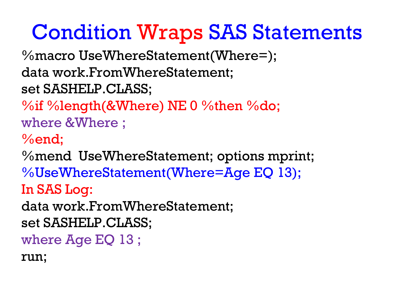## Condition Wraps SAS Statements

%macro UseWhereStatement(Where=); data work.FromWhereStatement; set SASHELP.CLASS;

%if %length(&Where) NE 0 %then %do; where &Where ;

%end;

%mend UseWhereStatement; options mprint; %UseWhereStatement(Where=Age EQ 13); In SAS Log:

data work.FromWhereStatement;

set SASHELP.CLASS;

where Age EQ 13 ;

run;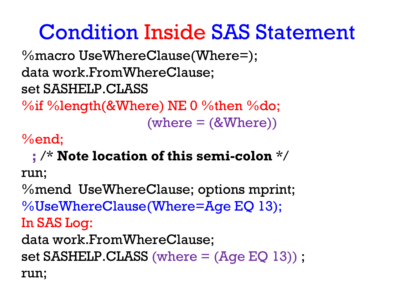### Condition Inside SAS Statement

%macro UseWhereClause(Where=); data work.FromWhereClause; set SASHELP.CLASS

 $\%$ if %length(&Where) NE 0 %then %do;  $(where = (&Where))$ 

%end;

#### **;** /\* **Note location of this semi-colon** \*/

run;

%mend UseWhereClause; options mprint; %UseWhereClause(Where=Age EQ 13); In SAS Log: data work.FromWhereClause; set SASHELP.CLASS (where  $=$   $(Aqe EQ 13)$ ); run;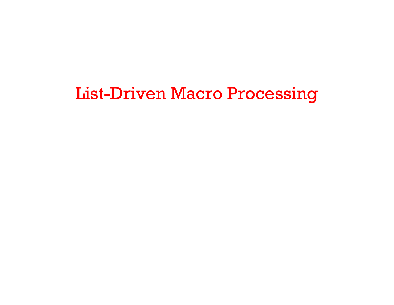#### List-Driven Macro Processing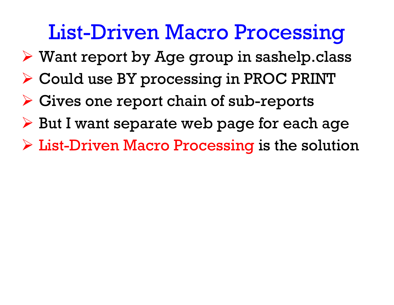### List-Driven Macro Processing

- Want report by Age group in sashelp.class
- Could use BY processing in PROC PRINT
- $\triangleright$  Gives one report chain of sub-reports
- But I want separate web page for each age
- $\triangleright$  List-Driven Macro Processing is the solution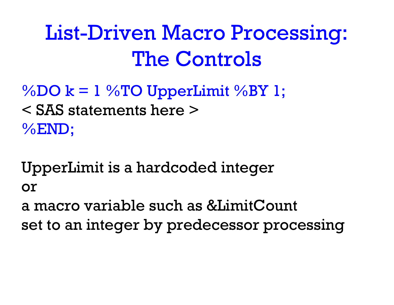## List-Driven Macro Processing: The Controls

 $\%$ DO k = 1  $\%$ TO UpperLimit  $\%$ BY 1; < SAS statements here >%END;

UpperLimit is a hardcoded integer or a macro variable such as &LimitCount

set to an integer by predecessor processing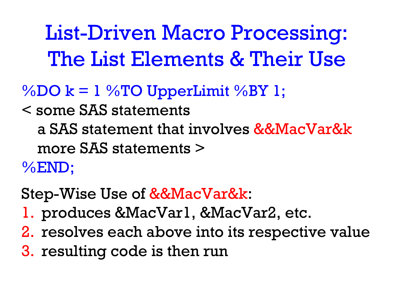List-Driven Macro Processing: The List Elements & Their Use

#### $\%$ DO k = 1  $\%$ TO UpperLimit  $\%$ BY 1;

< some SAS statements

a SAS statement that involves &&MacVar&kmore SAS statements >%END;

Step-Wise Use of &&MacVar&k:

- 1. produces &MacVar1, &MacVar2, etc.
- 2. resolves each above into its respective value
- 3. resulting code is then run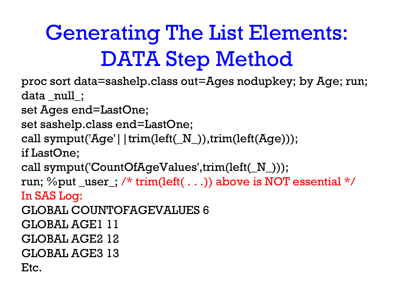# Generating The List Elements: DATA Step Method

proc sort data=sashelp.class out=Ages nodupkey; by Age; run; data \_null\_;

set Ages end=LastOne;

```
set sashelp.class end=LastOne;
```

```
call symput('Age'||trim(left(_N_)),trim(left(Age)));
```
if LastOne;

call symput('CountOfAgeValues',trim(left(\_N\_)));

run;  $\%$ put \_user\_; /\* trim(left( . . .)) above is NOT essential \*/ In SAS Log:

GLOBAL COUNTOFAGEVALUES 6

GLOBAL AGE1 11

GLOBAL AGE2 12

GLOBAL AGE3 13

```
Etc.
```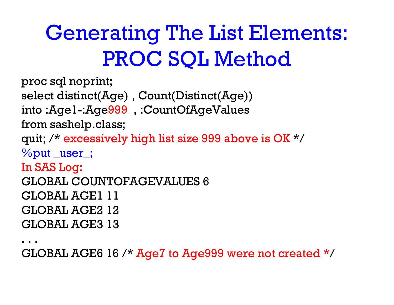# Generating The List Elements: PROC SQL Method

```
proc sql noprint;
select distinct(Age) , Count(Distinct(Age)) 
into :Age1-:Age999 , :CountOfAgeValues
from sashelp.class;
quit; /* excessively high list size 999 above is OK */
%put _user_;
In SAS Log:
GLOBAL COUNTOFAGEVALUES 6GLOBAL AGE1 11GLOBAL AGE2 12GLOBAL AGE3 13
```
. . .

GLOBAL AGE6 16 /\* Age7 to Age999 were not created \*/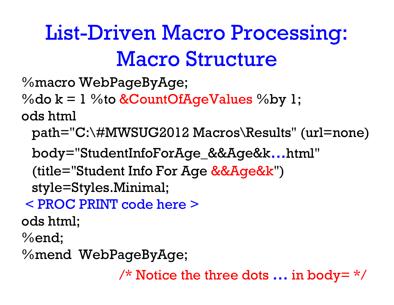# List-Driven Macro Processing: Macro Structure

%macro WebPageByAge;

%do  $k = 1$  %to &CountOfAgeValues %by 1; ods html

path="C:\#MWSUG2012 Macros\Results" (url=none)

body="StudentInfoForAge **\_**&&Age&k...html"

(title="Student Info For Age &&Age&k")

style=Styles.Minimal;

< PROC PRINT code here >

ods html;

%end;

%mend WebPageByAge;

 $\frac{\pi}{2}$  Notice the three dots ... in body=  $\frac{\pi}{2}$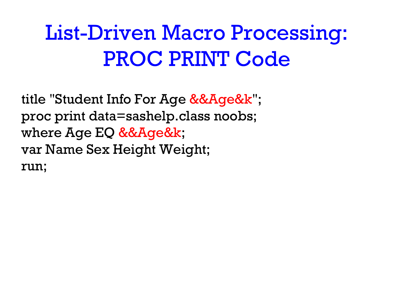## List-Driven Macro Processing: PROC PRINT Code

title "Student Info For Age &&Age&k"; proc print data=sashelp.class noobs; where Age EQ &&Age&k; var Name Sex Height Weight; run;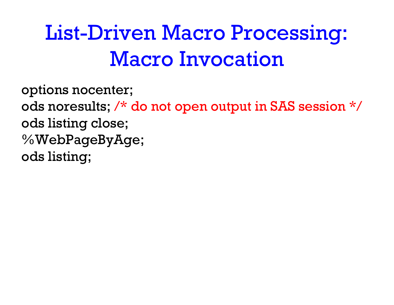# List-Driven Macro Processing: Macro Invocation

options nocenter; ods noresults; /\* do not open output in SAS session \*/ ods listing close; %WebPageByAge; ods listing;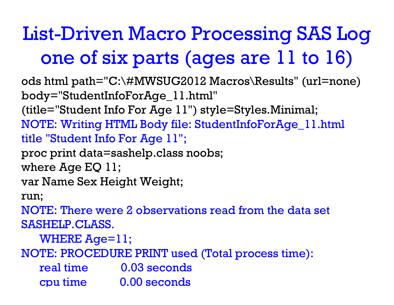### List-Driven Macro Processing SAS Log one of six parts (ages are 11 to 16)

ods html path="C:\#MWSUG2012 Macros\Results" (url=none) body="StudentInfoForAge\_11.html" (title="Student Info For Age 11") style=Styles.Minimal; NOTE: Writing HTML Body file: StudentInfoForAge\_11.html title "Student Info For Age 11"; proc print data=sashelp.class noobs; where Age EQ 11; var Name Sex Height Weight; run; NOTE: There were 2 observations read from the data set SASHELP.CLASS. WHERE Age=11; NOTE: PROCEDURE PRINT used (Total process time): real time 0.03 seconds c pu time 0.00 seconds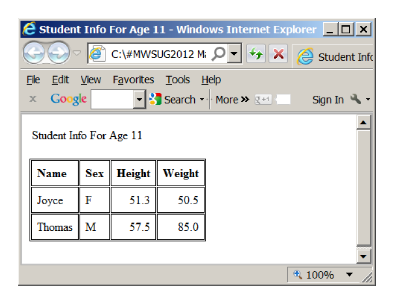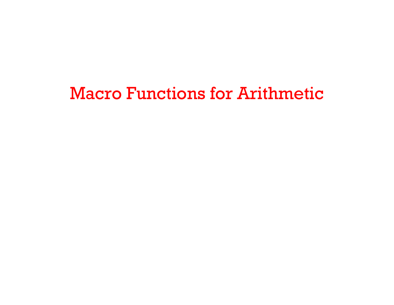#### Macro Functions for Arithmetic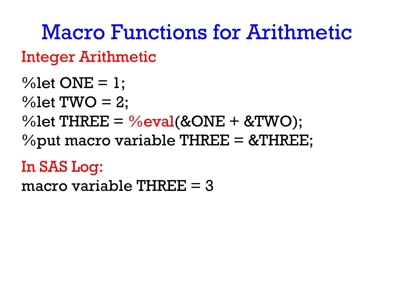Integer Arithmetic Macro Functions for Arithmetic

 $% let$  ONE = 1;  $% let TWO = 2$ ; %let  $THREE = %eval(& ONE + & TWO);$ % put macro variable THREE  $=$  &THREE;

#### In SAS Log:

macro variable THREE  $=$  3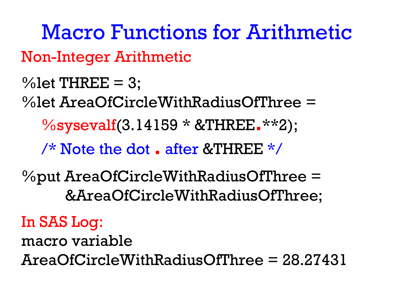Non-Integer Arithmetic  $%$  let THREE = 3; %let AreaOfCircleWithRadiusOfThree <sup>=</sup>%sysevalf(3.14159 \* &THREE **.**\*\*2); /\* Note the dot **.** after &THREE \*/%put AreaOfCircleWithRadiusOfThree <sup>=</sup> &AreaOfCircleWithRadiusOfThree; In SAS Log: Macro Functions for Arithmetic

macro variable AreaOfCircleWithRadiusOfThree = 28.27431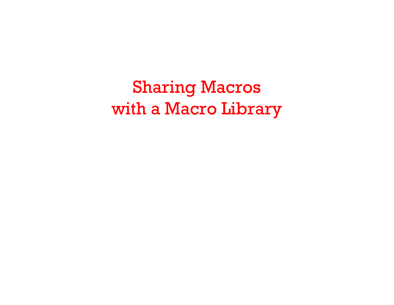Sharing Macros with a Macro Library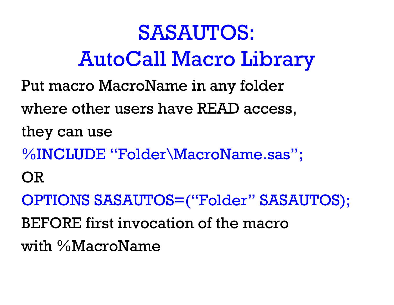# SASAUTOS: AutoCall Macro Library

- Put macro MacroName in any folder
- where other users have READ access,

they can use

- %INCLUDE "Folder\MacroName.sas";
- OR

OPTIONS SASAUTOS=("Folder" SASAUTOS);

BEFORE first invocation of the macro

with %MacroName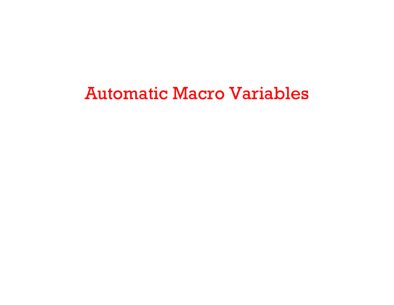#### Automatic Macro Variables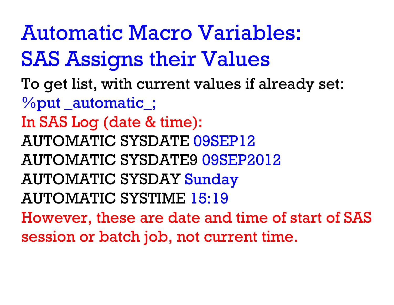To get list, with current values if already set: %put \_automatic\_; In SAS Log (date & time): AUTOMATIC SYSDATE 09SEP12AUTOMATIC SYSDATE9 09SEP2012AUTOMATIC SYSDAY Sunday AUTOMATIC SYSTIME 15:19However, these are date and time of start of SAS session or batch job, not current time. Automatic Macro Variables: SAS Assigns their Values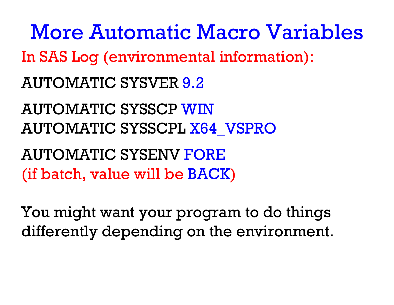In SAS Log (environmental information): AUTOMATIC SYSVER 9.2AUTOMATIC SYSSCP WINAUTOMATIC SYSSCPL X64\_VSPRO AUTOMATIC SYSENV FORE(if batch, value will be BACK ) More Automatic Macro Variables

You might want your program to do things differently depending on the environment.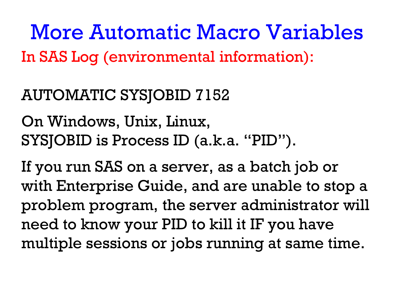In SAS Log (environmental information): More Automatic Macro Variables

#### AUTOMATIC SYSJOBID 7152

On Windows, Unix, Linux, SYSJOBID is Process ID (a.k.a. "PID").

If you run SAS on a server, as a batch job or with Enterprise Guide, and are unable to stop a problem program, the server administrator will need to know your PID to kill it IF you have multiple sessions or jobs running at same time.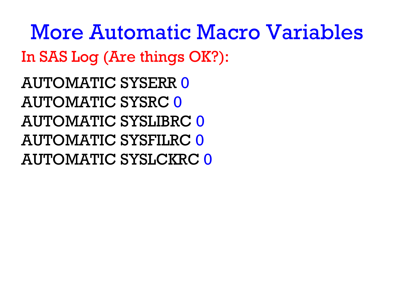In SAS Log (Are things OK?): AUTOMATIC SYSERR 0 AUTOMATIC SYSRC 0 AUTOMATIC SYSLIBRC 0AUTOMATIC SYSFILRC 0AUTOMATIC SYSLCKRC 0More Automatic Macro Variables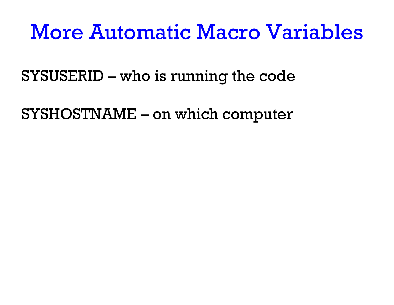### More Automatic Macro Variables

SYSUSERID – who is running the code

SYSHOSTNAME – on which computer